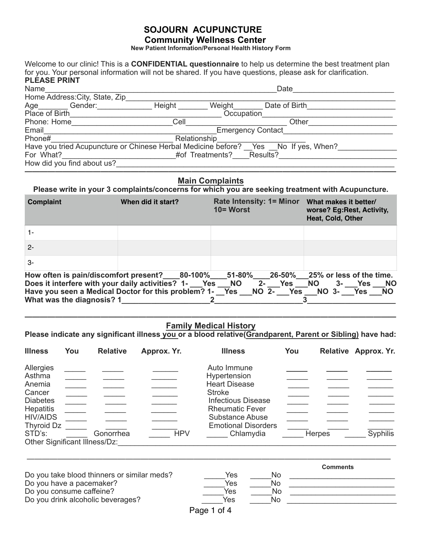**New Patient Information/Personal Health History Form** 

Welcome to our clinic! This is a **CONFIDENTIAL questionnaire** to help us determine the best treatment plan for you. Your personal information will not be shared. If you have questions, please ask for clarification. **PLEASE PRINT** 

| Name                                                                               | Date   |                 |                          |  |  |
|------------------------------------------------------------------------------------|--------|-----------------|--------------------------|--|--|
| Home Address: City, State, Zip                                                     |        |                 |                          |  |  |
| Age____<br>Gender:                                                                 | Height | Weight          | Date of Birth            |  |  |
| Place of Birth                                                                     |        | Occupation      |                          |  |  |
| Phone: Home                                                                        | Cell   |                 | Other                    |  |  |
| Email                                                                              |        |                 | <b>Emergency Contact</b> |  |  |
| Phone#                                                                             |        | Relationship    |                          |  |  |
| Have you tried Acupuncture or Chinese Herbal Medicine before? Yes No If yes, When? |        |                 |                          |  |  |
| For What?                                                                          |        | #of Treatments? | Results?                 |  |  |
| How did you find about us?                                                         |        |                 |                          |  |  |

### **————————————————————————————————————————————————— Main Complaints**

**Please write in your 3 complaints/concerns for which you are seeking treatment with Acupuncture.** 

| Complaint                                                                                                                                                                                                                                                                                 | When did it start? | <b>Rate Intensity: 1= Minor</b><br>$10 =$ Worst | What makes it better/<br>worse? Eg:Rest, Activity,<br>Heat, Cold, Other |
|-------------------------------------------------------------------------------------------------------------------------------------------------------------------------------------------------------------------------------------------------------------------------------------------|--------------------|-------------------------------------------------|-------------------------------------------------------------------------|
| 1-                                                                                                                                                                                                                                                                                        |                    |                                                 |                                                                         |
| $2 -$                                                                                                                                                                                                                                                                                     |                    |                                                 |                                                                         |
| $\mathcal{S}$ -                                                                                                                                                                                                                                                                           |                    |                                                 |                                                                         |
| How often is pain/discomfort present?____80-100%____51-80%____26-50%___25% or less of the time.<br>Does it interfere with your daily activities? 1- Yes NO 2- Yes NO<br>Have you seen a Medical Doctor for this problem? 1- Yes __NO 2- Yes __NO 3- Yes __NO<br>What was the diagnosis? 1 |                    |                                                 | 3- Yes NO                                                               |

### **————————————————————————————————————————————————— Family Medical History**

Please indicate any significant illness you or a blood relative(Grandparent, Parent or Sibling) have had:

| <b>Illness</b>                                                                                                                                             | You | <b>Relative</b> | Approx. Yr. | <b>Illness</b>                                                                                                                                                                                   | You           | Relative Approx. Yr. |
|------------------------------------------------------------------------------------------------------------------------------------------------------------|-----|-----------------|-------------|--------------------------------------------------------------------------------------------------------------------------------------------------------------------------------------------------|---------------|----------------------|
| Allergies<br>Asthma<br>Anemia<br>Cancer<br><b>Diabetes</b><br><b>Hepatitis</b><br><b>HIV/AIDS</b><br>Thyroid Dz<br>STD's:<br>Other Significant Illness/Dz: |     | Gonorrhea       | <b>HPV</b>  | Auto Immune<br>Hypertension<br><b>Heart Disease</b><br><b>Stroke</b><br><b>Infectious Disease</b><br><b>Rheumatic Fever</b><br><b>Substance Abuse</b><br><b>Emotional Disorders</b><br>Chlamydia | <b>Herpes</b> | <b>Syphilis</b>      |

|                                             |             |    | <b>Comments</b> |
|---------------------------------------------|-------------|----|-----------------|
| Do you take blood thinners or similar meds? | Yes         | No |                 |
| Do you have a pacemaker?                    | Yes         | No |                 |
| Do you consume caffeine?                    | Yes         | No |                 |
| Do you drink alcoholic beverages?           | Yes         | No |                 |
|                                             | Page 1 of 4 |    |                 |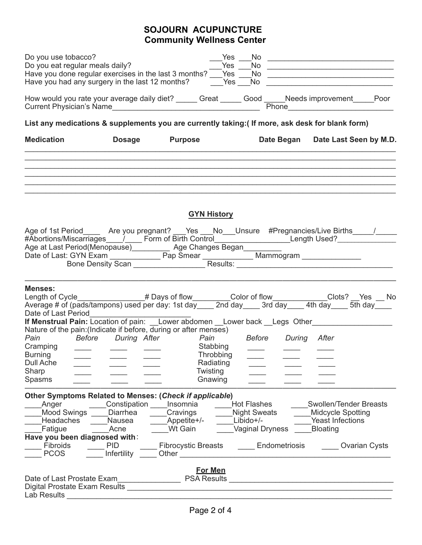| Do you use tobacco?<br>Do you eat regular meals daily?<br>Have you done regular exercises in the last 3 months? ___ Yes __<br>Have you had any surgery in the last 12 months? The Yes                                                                                                                                                                                                              |                                                                         |                                                                                                        | Yes<br>Yes | No.<br><b>No</b><br>No<br>No.                                                              |            | <u> 1989 - Johann John Stone, market francuski filozof (</u>                                     | <u> 1989 - Johann Harrison, fransk politiker (d. 1989)</u><br><u> 2000 - John Stone, amerikansk politiker (d. 1980)</u><br><u> 2002 - Johann Stoff, amerikansk politiker (d. 1982)</u> |
|----------------------------------------------------------------------------------------------------------------------------------------------------------------------------------------------------------------------------------------------------------------------------------------------------------------------------------------------------------------------------------------------------|-------------------------------------------------------------------------|--------------------------------------------------------------------------------------------------------|------------|--------------------------------------------------------------------------------------------|------------|--------------------------------------------------------------------------------------------------|----------------------------------------------------------------------------------------------------------------------------------------------------------------------------------------|
| How would you rate your average daily diet? _____ Great _____ Good _____Needs improvement _____Poor                                                                                                                                                                                                                                                                                                |                                                                         |                                                                                                        |            |                                                                                            |            |                                                                                                  |                                                                                                                                                                                        |
| List any medications & supplements you are currently taking: (If more, ask desk for blank form)                                                                                                                                                                                                                                                                                                    |                                                                         |                                                                                                        |            |                                                                                            |            |                                                                                                  |                                                                                                                                                                                        |
| <b>Medication</b>                                                                                                                                                                                                                                                                                                                                                                                  | <b>Dosage</b>                                                           | <b>Purpose</b>                                                                                         |            |                                                                                            | Date Began |                                                                                                  | Date Last Seen by M.D.                                                                                                                                                                 |
|                                                                                                                                                                                                                                                                                                                                                                                                    |                                                                         |                                                                                                        |            |                                                                                            |            |                                                                                                  |                                                                                                                                                                                        |
|                                                                                                                                                                                                                                                                                                                                                                                                    |                                                                         | <b>GYN History</b>                                                                                     |            |                                                                                            |            |                                                                                                  |                                                                                                                                                                                        |
| Age of 1st Period______ Are you pregnant? ___Yes ___No___Unsure #Pregnancies/Live Births_____/_____<br>#Abortions/Miscarriages / Commof Birth Control Control Control Control Control Control Length Used? Control Length Used? Control Length Used? Control<br>Age at Last Period(Menopause) Age Changes Began<br>Date of Last: GYN Exam Pap Smear Mammogram Mammogram Bone Density Scan Results: |                                                                         |                                                                                                        |            |                                                                                            |            |                                                                                                  |                                                                                                                                                                                        |
| <b>Menses:</b><br>Length of Cycle_______________# Days of flow_______Color of flow_________Clots? __Yes __ No<br>Average # of (pads/tampons) used per day: 1st day____ 2nd day____ 3rd day____ 4th day____ 5th day____                                                                                                                                                                             |                                                                         |                                                                                                        |            |                                                                                            |            |                                                                                                  |                                                                                                                                                                                        |
| Nature of the pain: (Indicate if before, during or after menses)<br>Pain Before During After Pain Before During After<br>Cramping<br>Burning<br><b>Dull Ache</b><br>Sharp<br>Spasms                                                                                                                                                                                                                | ____                                                                    | Throbbing<br>Radiating<br>Twisting<br>Gnawing                                                          | Stabbing   |                                                                                            |            |                                                                                                  |                                                                                                                                                                                        |
| Other Symptoms Related to Menses: (Check if applicable)<br>Anger<br><b>Mood Swings</b><br>Headaches<br>Fatigue<br>Have you been diagnosed with:<br>Fibroids<br><b>PCOS</b>                                                                                                                                                                                                                         | Constipation<br>Diarrhea<br>Nausea<br>Acne<br><b>PID</b><br>Infertility | Insomnia<br>Cravings<br>Appetite+/-<br>Wt Gain<br><b>Fibrocystic Breasts</b><br><b>Other Community</b> |            | <b>Hot Flashes</b><br><b>Night Sweats</b><br>Libido+/-<br>Vaginal Dryness<br>Endometriosis |            | <b>Swollen/Tender Breasts</b><br><b>Midcycle Spotting</b><br>Yeast Infections<br><b>Bloating</b> | <b>Covarian Cysts</b>                                                                                                                                                                  |
| Date of Last Prostate Exam<br>Lab Results                                                                                                                                                                                                                                                                                                                                                          |                                                                         | <b>For Men</b><br><b>PSA Results</b>                                                                   |            |                                                                                            |            | <u> 1980 - Jan James James, margolar fizikar (h. 1980).</u>                                      |                                                                                                                                                                                        |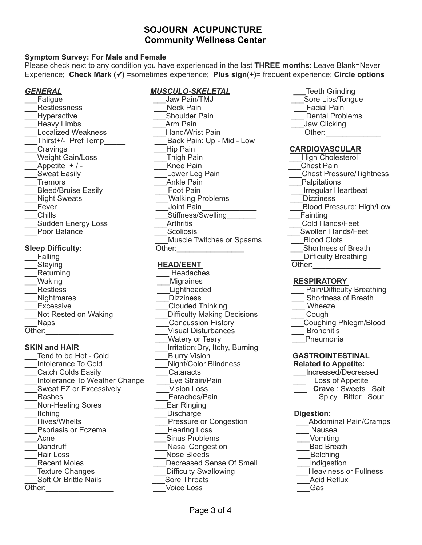### **Symptom Survey: For Male and Female**

Please check next to any condition you have experienced in the last **THREE months**: Leave Blank=Never Experience; **Check Mark (✓)** =sometimes experience; **Plus sign(+)**= frequent experience; **Circle options** 

\_\_\_Sudden Energy Loss \_\_\_Arthritis \_\_\_Cold Hands/Feet

Staying **HEAD/EENT** Other: Returning **Executive Executive Contract Contract Presenting** Headaches

\_\_\_Catch Colds Easily \_\_\_Cataracts \_\_\_Increased/Decreased Lintolerance To Weather Change Latting Eye Strain/Pain Loss of Appetite Loss of Appetite external EZ or Excessively **the Crave of Crave** in Sweets Salt<br>
Earaches/Pain **Crave** : Spicy Bitter Sour Non-Healing Sores **Ear Ringing** Litching **Contract Constructs** Digestion:<br>
Digestion:<br>
Pressure or Congestion **Digestion**<br>
Abdominal Pain/Cramps Psoriasis or Eczema **business** — Hearing Loss **Example 2** Nausea ersion and the control of the control of the control of the control of the control of the control of the control of Nasal Conqestion and the control of Bad Breath Dandruff and Denmark Massachusetts and the conquestion and \_\_\_Dandruff \_\_\_Nasal Congestion \_\_\_Bad Breath \_\_\_Recent Moles \_\_\_Decreased Sense Of Smell \_\_\_Indigestion \_\_\_Texture Changes \_\_\_Difficulty Swallowing \_\_\_Heaviness or Fullness

Other:

### *GENERAL MUSCULO-SKELETAL \_\_\_*Teeth Grinding

Fatigue **Example 2** Transformation of the Uavernorm Sore Lips/Tongue and Sore Lips/Tongue \_\_\_Restlessness \_\_\_Neck Pain \_\_\_Facial Pain \_\_Hyperactive \_\_\_\_\_\_\_\_\_\_\_\_\_\_\_\_\_\_\_Shoulder Pain \_\_\_\_\_\_\_\_\_\_\_\_\_\_\_\_\_\_\_\_\_Dental Problems \_\_\_Heavy Limbs \_\_\_Arm Pain \_\_\_Jaw Clicking \_\_\_Hand/Wrist Pain Cher: Thirst+/- Pref Temp Back Pain: Up - Mid - Low \_\_\_Cravings \_\_\_Hip Pain **CARDIOVASCULAR** Weight Gain/Loss Thigh Pain **Thigh Pain** Thigh Cholesterol \_\_\_Appetite + / - \_\_\_Knee Pain \_\_\_Chest Pain \_\_\_Sweat Easily \_\_\_Lower Leg Pain \_\_\_Chest Pressure/Tightness Tremors **Example 20** Ankle Pain **Example 20 Ankle Pain** Palpitations Letter Alexander Chain and Turking and Turking and Turking and Turking and Turkingular Heartbeat \_\_\_Night Sweats \_\_\_Walking Problems \_\_\_Dizziness \_\_\_Fever \_\_\_Joint Pain\_\_\_\_\_\_\_\_\_\_\_\_\_ \_\_\_Blood Pressure: High/Low \_\_\_Chills \_\_\_Stiffness/Swelling\_\_\_\_\_\_\_ \_\_\_Fainting Poor Balance **Example 20** Scoliosis **Scoliosis Example 20 Swollen Hands/Feet Muscle Twitches or Spasms Blood Clots** Sleep Difficulty: **Sleep Difficulty: Cinemagned Company Company Company Company Company Company Company Company Company Company Company Company Company Company Company Company Company Co** 

\_\_\_Waking \_\_\_Migraines **RESPIRATORY**  Lightheaded **Example 2 Pain/Difficulty Breathing** \_\_\_Nightmares \_\_\_Dizziness \_\_\_ Shortness of Breath Excessive **Excessive** Excessive **Excessive** Excessive **Excessive Excessive Excessive Excessive Excessive Excessive Excessive Excessive Excessive Excessive Excessive Excessive Excessive Excessive** Difficulty Making Decisions<br>Concussion History \_\_\_Naps \_\_\_Concussion History \_\_\_Coughing Phlegm/Blood Other: Deternal Controller Controller Controller Controller Controller Controller Controller Controller Controller<br>
Veternal Controller Controller Controller Controller Controller Controller Controller Controller Controlle Watery or Teary **SKIN and HAIR**<br>
Tend to be Hot - Cold<br>
Telurry Vision<br>
Blurry Vision Tend to be Hot - Cold **Cold** Blurry Vision **GASTROINTESTINAL**<br>
Intolerance To Cold **Cold** Night/Color Blindness **GASTROINTESTINAL**  $\overline{\phantom{a}}$ Night/Color Blindness Pressure or Congestion<br>Hearing Loss Nose Bleeds<br>
Decreased Sense Of Smell<br>
Decreased Sense Of Smell \_\_\_Soft Or Brittle Nails \_\_\_Sore Throats \_\_\_Acid Reflux

- 
- 
- 
- 
- -

- 
- 
- 
- -
- 
- 
- 
- 
- 
- 
- 
- **Ealling Example 2 Contract 2 Contract 2 Contract 2 Contract 2 Contract 2 Contract 2 Contract 2 Contract 2 Contract 2 Contract 2 Contract 2 Contract 2 Contract 2 Contract 2 Contract 2 Cont** 
	-

- 
- 
- 
- 
- 
- 
- 

- 
- 
- 
- 
- Spicy Bitter Sour

- 
- 
- 
- 
- 
- 
- 
- 
-